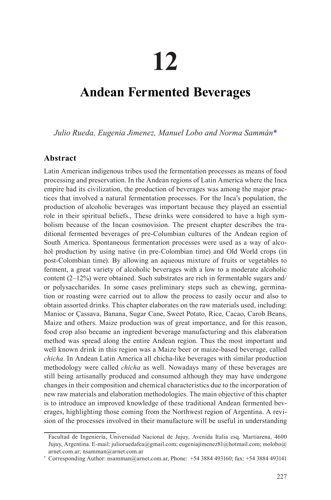# **12**

# **[Andean Fermented Beverages](#page--1-0)**

*Julio Rueda, Eugenia Jimenez, Manuel Lobo and Norma Sammán[\\*](#page--1-0)*

### **Abstract**

Latin American indigenous tribes used the fermentation processes as means of food processing and preservation. In the Andean regions of Latin America where the Inca empire had its civilization, the production of beverages was among the major practices that involved a natural fermentation processes. For the Inca's population, the production of alcoholic beverages was important because they played an essential role in their spiritual beliefs., These drinks were considered to have a high symbolism because of the Incan cosmovision. The present chapter describes the traditional fermented beverages of pre-Columbian cultures of the Andean region of South America. Spontaneous fermentation processes were used as a way of alcohol production by using native (in pre-Colombian time) and Old World crops (in post-Colombian time). By allowing an aqueous mixture of fruits or vegetables to ferment, a great variety of alcoholic beverages with a low to a moderate alcoholic content  $(2-12%)$  were obtained. Such substrates are rich in fermentable sugars and/ or polysaccharides. In some cases preliminary steps such as chewing, germination or roasting were carried out to allow the process to easily occur and also to obtain assorted drinks. This chapter elaborates on the raw materials used, including: Manioc or Çassava, Banana, Sugar Cane, Sweet Potato, Rice, Cacao, Carob Beans, Maize and others. Maize production was of great importance, and for this reason, food crop also became an ingredient beverage manufacturing and this elaboration method was spread along the entire Andean region. Thus the most important and well known drink in this region was a Maize beer or maize-based beverage, called *chicha*. In Andean Latin America all chicha-like beverages with similar production methodology were called *chicha* as well. Nowadays many of these beverages are still being artisanally produced and consumed although they may have undergone changes in their composition and chemical characteristics due to the incorporation of new raw materials and elaboration methodologies. The main objective of this chapter is to introduce an improved knowledge of these traditional Andean fermented beverages, highlighting those coming from the Northwest region of Argentina. A revision of the processes involved in their manufacture will be useful in understanding

Facultad de Ingeniería, Universidad Nacional de Jujuy, Avenida Italia esq. Martiarena, 4600 Jujuy, Argentina. E-mail: [julioruedafca@gmail.com;](mailto:julioruedafca@gmail.com) [eugeniajimenez81@hotmail.com;](mailto:eugeniajimenez81@hotmail.com) [molobo@](mailto:molobo@arnet.com.ar) [arnet.com.ar](mailto:molobo@arnet.com.ar); [nsamman@arnet.com.ar](mailto:nsamman@arnet.com.ar)

[<sup>\\*</sup>](#page--1-0) Corresponding Author: [nsamman@arnet.com.ar,](mailto:nsamman@arnet.com.ar) Phone: +54 3884 493160; fax: +54 3884 493141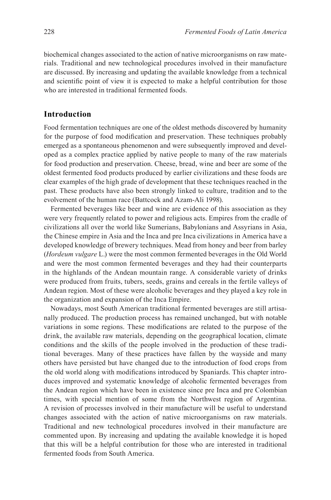biochemical changes associated to the action of native microorganisms on raw materials. Traditional and new technological procedures involved in their manufacture are discussed. By increasing and updating the available knowledge from a technical and scientific point of view it is expected to make a helpful contribution for those who are interested in traditional fermented foods.

# **Introduction**

Food fermentation techniques are one of the oldest methods discovered by humanity for the purpose of food modification and preservation. These techniques probably emerged as a spontaneous phenomenon and were subsequently improved and developed as a complex practice applied by native people to many of the raw materials for food production and preservation. Cheese, bread, wine and beer are some of the oldest fermented food products produced by earlier civilizations and these foods are clear examples of the high grade of development that these techniques reached in the past. These products have also been strongly linked to culture, tradition and to the evolvement of the human race (Battcock and Azam-Ali 1998).

Fermented beverages like beer and wine are evidence of this association as they were very frequently related to power and religious acts. Empires from the cradle of civilizations all over the world like Sumerians, Babylonians and Assyrians in Asia, the Chinese empire in Asia and the Inca and pre Inca civilizations in America have a developed knowledge of brewery techniques. Mead from honey and beer from barley (*Hordeum vulgare* L.) were the most common fermented beverages in the Old World and were the most common fermented beverages and they had their counterparts in the highlands of the Andean mountain range. A considerable variety of drinks were produced from fruits, tubers, seeds, grains and cereals in the fertile valleys of Andean region. Most of these were alcoholic beverages and they played a key role in the organization and expansion of the Inca Empire.

Nowadays, most South American traditional fermented beverages are still artisanally produced. The production process has remained unchanged, but with notable variations in some regions. These modifications are related to the purpose of the drink, the available raw materials, depending on the geographical location, climate conditions and the skills of the people involved in the production of these traditional beverages. Many of these practices have fallen by the wayside and many others have persisted but have changed due to the introduction of food crops from the old world along with modifications introduced by Spaniards. This chapter introduces improved and systematic knowledge of alcoholic fermented beverages from the Andean region which have been in existence since pre Inca and pre Colombian times, with special mention of some from the Northwest region of Argentina. A revision of processes involved in their manufacture will be useful to understand changes associated with the action of native microorganisms on raw materials. Traditional and new technological procedures involved in their manufacture are commented upon. By increasing and updating the available knowledge it is hoped that this will be a helpful contribution for those who are interested in traditional fermented foods from South America.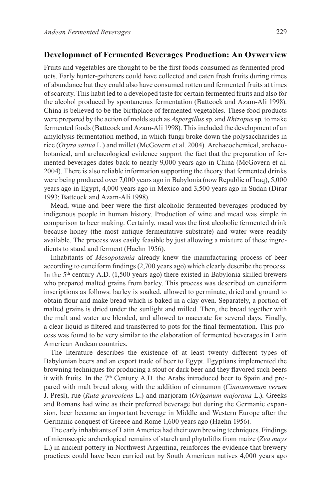#### **Developmnet of Fermented Beverages Production: An Ovwerview**

Fruits and vegetables are thought to be the first foods consumed as fermented products. Early hunter-gatherers could have collected and eaten fresh fruits during times of abundance but they could also have consumed rotten and fermented fruits at times of scarcity. This habit led to a developed taste for certain fermented fruits and also for the alcohol produced by spontaneous fermentation (Battcock and Azam-Ali 1998). China is believed to be the birthplace of fermented vegetables. These food products were prepared by the action of molds such as *Aspergillus* sp. and *Rhizopus* sp*.* to make fermented foods (Battcock and Azam-Ali 1998). This included the development of an amylolysis fermentation method, in which fungi broke down the polysaccharides in rice (*Oryza sativa* L.) and millet (McGovern et al. 2004). Archaeochemical, archaeobotanical, and archaeological evidence support the fact that the preparation of fermented beverages dates back to nearly 9,000 years ago in China (McGovern et al. 2004). There is also reliable information supporting the theory that fermented drinks were being produced over 7,000 years ago in Babylonia (now Republic of Iraq), 5,000 years ago in Egypt, 4,000 years ago in Mexico and 3,500 years ago in Sudan (Dirar 1993; Battcock and Azam-Ali 1998).

Mead, wine and beer were the first alcoholic fermented beverages produced by indigenous people in human history. Production of wine and mead was simple in comparison to beer making. Certainly, mead was the first alcoholic fermented drink because honey (the most antique fermentative substrate) and water were readily available. The process was easily feasible by just allowing a mixture of these ingredients to stand and ferment (Haehn 1956).

Inhabitants of *Mesopotamia* already knew the manufacturing process of beer according to cuneiform findings (2,700 years ago) which clearly describe the process. In the  $5<sup>th</sup>$  century A.D. (1,500 years ago) there existed in Babylonia skilled brewers who prepared malted grains from barley. This process was described on cuneiform inscriptions as follows: barley is soaked, allowed to germinate, dried and ground to obtain flour and make bread which is baked in a clay oven. Separately, a portion of malted grains is dried under the sunlight and milled. Then, the bread together with the malt and water are blended, and allowed to macerate for several days. Finally, a clear liquid is filtered and transferred to pots for the final fermentation. This process was found to be very similar to the elaboration of fermented beverages in Latin American Andean countries.

The literature describes the existence of at least twenty different types of Babylonian beers and an export trade of beer to Egypt. Egyptians implemented the browning techniques for producing a stout or dark beer and they flavored such beers it with fruits. In the  $7<sup>th</sup>$  Century A.D. the Arabs introduced beer to Spain and prepared with malt bread along with the addition of cinnamon (*Cinnamomum verum* J. Presl), rue (*Ruta graveolens* L.) and marjoram (*Origanum majorana* L.). Greeks and Romans had wine as their preferred beverage but during the Germanic expansion, beer became an important beverage in Middle and Western Europe after the Germanic conquest of Greece and Rome 1,600 years ago (Haehn 1956).

The early inhabitants of Latin America had their own brewing techniques. Findings of microscopic archeological remains of starch and phytoliths from maize (*Zea mays* L.) in ancient pottery in Northwest Argentina, reinforces the evidence that brewery practices could have been carried out by South American natives 4,000 years ago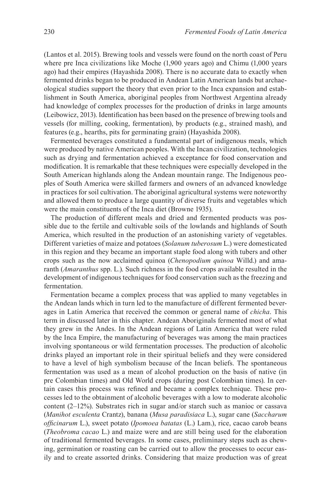(Lantos et al. 2015). Brewing tools and vessels were found on the north coast of Peru where pre Inca civilizations like Moche (1,900 years ago) and Chimu (1,000 years ago) had their empires (Hayashida 2008). There is no accurate data to exactly when fermented drinks began to be produced in Andean Latin American lands but archaeological studies support the theory that even prior to the Inca expansion and establishment in South America, aboriginal peoples from Northwest Argentina already had knowledge of complex processes for the production of drinks in large amounts (Leibowicz, 2013). Identification has been based on the presence of brewing tools and vessels (for milling, cooking, fermentation), by products (e.g., strained mash), and features (e.g., hearths, pits for germinating grain) (Hayashida 2008).

Fermented beverages constituted a fundamental part of indigenous meals, which were produced by native American peoples. With the Incan civilization, technologies such as drying and fermentation achieved a exceptance for food conservation and modification. It is remarkable that these techniques were especially developed in the South American highlands along the Andean mountain range. The Indigenous peoples of South America were skilled farmers and owners of an advanced knowledge in practices for soil cultivation. The aboriginal agricultural systems were noteworthy and allowed them to produce a large quantity of diverse fruits and vegetables which were the main constituents of the Inca diet (Browne 1935).

The production of different meals and dried and fermented products was possible due to the fertile and cultivable soils of the lowlands and highlands of South America, which resulted in the production of an astonishing variety of vegetables. Different varieties of maize and potatoes (*Solanum tuberosum* L.) were domesticated in this region and they became an important staple food along with tubers and other crops such as the now acclaimed quinoa (*Chenopodium quinoa* Willd.) and amaranth (*Amaranthus* spp. L*.*). Such richness in the food crops available resulted in the development of indigenous techniques for food conservation such as the freezing and fermentation.

Fermentation became a complex process that was applied to many vegetables in the Andean lands which in turn led to the manufacture of different fermented beverages in Latin America that received the common or general name of *chicha*. This term in discussed later in this chapter. Andean Aboriginals fermented most of what they grew in the Andes. In the Andean regions of Latin America that were ruled by the Inca Empire, the manufacturing of beverages was among the main practices involving spontaneous or wild fermentation processes. The production of alcoholic drinks played an important role in their spiritual beliefs and they were considered to have a level of high symbolism because of the Incan beliefs. The spontaneous fermentation was used as a mean of alcohol production on the basis of native (in pre Colombian times) and Old World crops (during post Colombian times). In certain cases this process was refined and became a complex technique. These processes led to the obtainment of alcoholic beverages with a low to moderate alcoholic content (2–12%). Substrates rich in sugar and/or starch such as manioc or cassava (*Manihot esculenta* Crantz), banana (*Musa paradisiaca* L.), sugar cane (*Saccharum officinarum* L.), sweet potato (*Ipomoea batatas* (L.) Lam.), rice, cacao carob beans (*Theobroma cacao* L.) and maize were and are still being used for the elaboration of traditional fermented beverages. In some cases, preliminary steps such as chewing, germination or roasting can be carried out to allow the processes to occur easily and to create assorted drinks. Considering that maize production was of great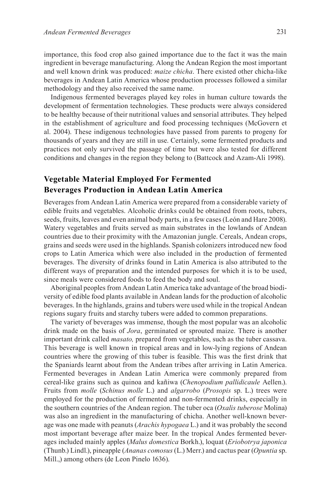importance, this food crop also gained importance due to the fact it was the main ingredient in beverage manufacturing. Along the Andean Region the most important and well known drink was produced: *maize chicha*. There existed other chicha-like beverages in Andean Latin America whose production processes followed a similar methodology and they also received the same name.

Indigenous fermented beverages played key roles in human culture towards the development of fermentation technologies. These products were always considered to be healthy because of their nutritional values and sensorial attributes. They helped in the establishment of agriculture and food processing techniques (McGovern et al. 2004). These indigenous technologies have passed from parents to progeny for thousands of years and they are still in use. Certainly, some fermented products and practices not only survived the passage of time but were also tested for different conditions and changes in the region they belong to (Battcock and Azam-Ali 1998).

# **Vegetable Material Employed For Fermented Beverages Production in Andean Latin America**

Beverages from Andean Latin America were prepared from a considerable variety of edible fruits and vegetables. Alcoholic drinks could be obtained from roots, tubers, seeds, fruits, leaves and even animal body parts, in a few cases (León and Hare 2008). Watery vegetables and fruits served as main substrates in the lowlands of Andean countries due to their proximity with the Amazonian jungle. Cereals, Andean crops, grains and seeds were used in the highlands. Spanish colonizers introduced new food crops to Latin America which were also included in the production of fermented beverages. The diversity of drinks found in Latin America is also attributed to the different ways of preparation and the intended purposes for which it is to be used, since meals were considered foods to feed the body and soul.

Aboriginal peoples from Andean Latin America take advantage of the broad biodiversity of edible food plants available in Andean lands for the production of alcoholic beverages. In the highlands, grains and tubers were used while in the tropical Andean regions sugary fruits and starchy tubers were added to common preparations.

The variety of beverages was immense, though the most popular was an alcoholic drink made on the basis of *Jora*, germinated or sprouted maize. There is another important drink called *masato,* prepared from vegetables, such as the tuber cassava. This beverage is well known in tropical areas and in low-lying regions of Andean countries where the growing of this tuber is feasible. This was the first drink that the Spaniards learnt about from the Andean tribes after arriving in Latin America. Fermented beverages in Andean Latin America were commonly prepared from cereal-like grains such as quinoa and kañiwa (*Chenopodium pallidicaule* Aellen.). Fruits from *molle* (*Schinus molle* L.) and *algarrobo* (*Prosopis* sp. L.) trees were employed for the production of fermented and non-fermented drinks, especially in the southern countries of the Andean region. The tuber oca (*Oxalis tuberose* Molina) was also an ingredient in the manufacturing of chicha. Another well-known beverage was one made with peanuts (*Arachis hypogaea* L.) and it was probably the second most important beverage after maize beer. In the tropical Andes fermented beverages included mainly apples (*Malus domestica* Borkh.), loquat (*Eriobotrya japonica*  (Thunb.) Lindl.), pineapple (*Ananas comosus* (L.) Merr.) and cactus pear (*Opuntia* sp. Mill.,) among others (de Leon Pinelo 1636).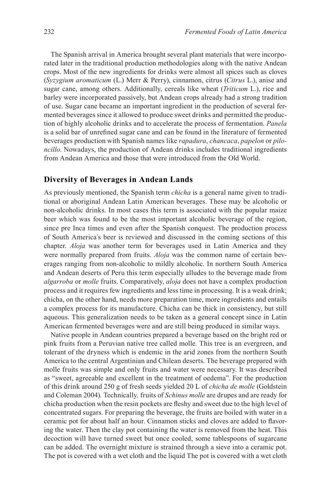The Spanish arrival in America brought several plant materials that were incorporated later in the traditional production methodologies along with the native Andean crops. Most of the new ingredients for drinks were almost all spices such as cloves (*Syzygium aromaticum* (L.) Merr & Perry), cinnamon, citrus (*Citrus* L.), anise and sugar cane, among others. Additionally, cereals like wheat (*Triticum* L.), rice and barley were incorporated passively, but Andean crops already had a strong tradition of use. Sugar cane became an important ingredient in the production of several fermented beverages since it allowed to produce sweet drinks and permitted the production of highly alcoholic drinks and to accelerate the process of fermentation. *Panela* is a solid bar of unrefined sugar cane and can be found in the literature of fermented beverages production with Spanish names like *rapadura*, *chancaca*, *papelon* or *piloncillo*. Nowadays, the production of Andean drinks includes traditional ingredients from Andean America and those that were introduced from the Old World.

#### **Diversity of Beverages in Andean Lands**

As previously mentioned, the Spanish term *chicha* is a general name given to traditional or aboriginal Andean Latin American beverages. These may be alcoholic or non-alcoholic drinks. In most cases this term is associated with the popular maize beer which was found to be the most important alcoholic beverage of the region, since pre Inca times and even after the Spanish conquest. The production process of South America´s beer is reviewed and discussed in the coming sections of this chapter. *Aloja* was another term for beverages used in Latin America and they were normally prepared from fruits. *Aloja* was the common name of certain beverages ranging from non-alcoholic to mildly alcoholic. In northern South America and Andean deserts of Peru this term especially alludes to the beverage made from *algarroba* or *molle* fruits. Comparatively, *aloja* does not have a complex production process and it requires few ingredients and less time in processing. It is a weak drink; chicha, on the other hand, needs more preparation time, more ingredients and entails a complex process for its manufacture. Chicha can be thick in consistency, but still aqueous. This generalization needs to be taken as a general concept since in Latin American fermented beverages were and are still being produced in similar ways.

Native people in Andean countries prepared a beverage based on the bright red or pink fruits from a Peruvian native tree called molle*.* This tree is an evergreen, and tolerant of the dryness which is endemic in the arid zones from the northern South America to the central Argentinian and Chilean deserts. The beverage prepared with molle fruits was simple and only fruits and water were necessary. It was described as "sweet, agreeable and excellent in the treatment of oedema". For the production of this drink around 250 g of fresh seeds yielded 20 L of *chicha de molle* (Goldstein and Coleman 2004)*.* Technically*,* fruits of *Schinus molle* are drupes and are ready for chicha production when the resin pockets are fleshy and sweet due to the high level of concentrated sugars. For preparing the beverage, the fruits are boiled with water in a ceramic pot for about half an hour. Cinnamon sticks and cloves are added to flavoring the water. Then the clay pot containing the water is removed from the heat. This decoction will have turned sweet but once cooled, some tablespoons of sugarcane can be added. The overnight mixture is strained through a sieve into a ceramic pot. The pot is covered with a wet cloth and the liquid The pot is covered with a wet cloth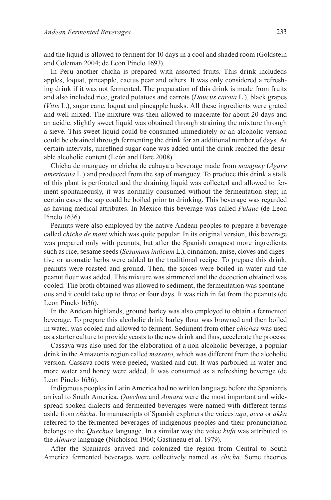and the liquid is allowed to ferment for 10 days in a cool and shaded room (Goldstein and Coleman 2004; de Leon Pinelo 1693).

In Peru another chicha is prepared with assorted fruits. This drink includeds apples, loquat, pineapple, cactus pear and others. It was only considered a refreshing drink if it was not fermented. The preparation of this drink is made from fruits and also included rice, grated potatoes and carrots (*Daucus carota* L.), black grapes (*Vitis* L.), sugar cane, loquat and pineapple husks. All these ingredients were grated and well mixed. The mixture was then allowed to macerate for about 20 days and an acidic, slightly sweet liquid was obtained through straining the mixture through a sieve. This sweet liquid could be consumed immediately or an alcoholic version could be obtained through fermenting the drink for an additional number of days. At certain intervals, unrefined sugar cane was added until the drink reached the desirable alcoholic content (León and Hare 2008)

Chicha de manguey or chicha de cabuya a beverage made from *manguey* (*Agave americana* L.) and produced from the sap of manguey*.* To produce this drink a stalk of this plant is perforated and the draining liquid was collected and allowed to ferment spontaneously, it was normally consumed without the fermentation step; in certain cases the sap could be boiled prior to drinking. This beverage was regarded as having medical attributes. In Mexico this beverage was called *Pulque* (de Leon Pinelo 1636).

Peanuts were also employed by the native Andean peoples to prepare a beverage called *chicha de mani* which was quite popular. In its original version, this beverage was prepared only with peanuts, but after the Spanish conquest more ingredients such as rice, sesame seeds (*Sesamum indicum* L.), cinnamon, anise, cloves and digestive or aromatic herbs were added to the traditional recipe*.* To prepare this drink, peanuts were roasted and ground. Then, the spices were boiled in water and the peanut flour was added. This mixture was simmered and the decoction obtained was cooled. The broth obtained was allowed to sediment, the fermentation was spontaneous and it could take up to three or four days. It was rich in fat from the peanuts (de Leon Pinelo 1636).

In the Andean highlands, ground barley was also employed to obtain a fermented beverage. To prepare this alcoholic drink barley flour was browned and then boiled in water, was cooled and allowed to ferment. Sediment from other *chichas* was used as a starter culture to provide yeasts to the new drink and thus, accelerate the process.

Cassava was also used for the elaboration of a non-alcoholic beverage, a popular drink in the Amazonia region called *massato*, which was different from the alcoholic version. Cassava roots were peeled, washed and cut. It was parboiled in water and more water and honey were added. It was consumed as a refreshing beverage (de Leon Pinelo 1636).

Indigenous peoples in Latin America had no written language before the Spaniards arrival to South America. *Quechua* and *Aimara* were the most important and widespread spoken dialects and fermented beverages were named with different terms aside from *chicha.* In manuscripts of Spanish explorers the voices *aqa*, *acca* or *akka*  referred to the fermented beverages of indigenous peoples and their pronunciation belongs to the *Quechua* language. In a similar way the voice *kufa* was attributed to the *Aimara* language (Nicholson 1960; Gastineau et al. 1979).

After the Spaniards arrived and colonized the region from Central to South America fermented beverages were collectively named as *chicha.* Some theories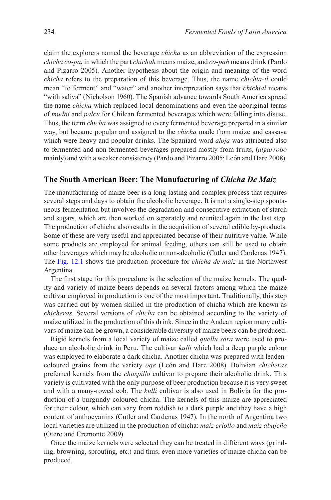claim the explorers named the beverage *chicha* as an abbreviation of the expression *chicha co-pa*, in which the part *chichah* means maize, and *co-pah* means drink (Pardo and Pizarro 2005). Another hypothesis about the origin and meaning of the word *chicha* refers to the preparation of this beverage. Thus, the name *chichia-tl* could mean "to ferment" and "water" and another interpretation says that *chichial* means "with saliva" (Nicholson 1960). The Spanish advance towards South America spread the name *chicha* which replaced local denominations and even the aboriginal terms of *mudai* and *palcu* for Chilean fermented beverages which were falling into disuse*.* Thus, the term *chicha* was assigned to every fermented beverage prepared in a similar way, but became popular and assigned to the *chicha* made from maize and cassava which were heavy and popular drinks. The Spaniard word *aloja* was attributed also to fermented and non-fermented beverages prepared mostly from fruits, (*algarrobo* mainly) and with a weaker consistency (Pardo and Pizarro 2005; León and Hare 2008).

# **The South American Beer: The Manufacturing of** *Chicha De Maiz*

The manufacturing of maize beer is a long-lasting and complex process that requires several steps and days to obtain the alcoholic beverage. It is not a single-step spontaneous fermentation but involves the degradation and consecutive extraction of starch and sugars, which are then worked on separately and reunited again in the last step. The production of chicha also results in the acquisition of several edible by-products. Some of these are very useful and appreciated because of their nutritive value. While some products are employed for animal feeding, others can still be used to obtain other beverages which may be alcoholic or non-alcoholic (Cutler and Cardenas 1947). The [Fig. 12.1](#page--1-0) shows the production procedure for *chicha de maiz* in the Northwest Argentina.

The first stage for this procedure is the selection of the maize kernels. The quality and variety of maize beers depends on several factors among which the maize cultivar employed in production is one of the most important. Traditionally, this step was carried out by women skilled in the production of chicha which are known as *chicheras.* Several versions of *chicha* can be obtained according to the variety of maize utilized in the production of this drink. Since in the Andean region many cultivars of maize can be grown, a considerable diversity of maize beers can be produced.

Rigid kernels from a local variety of maize called *quellu sara* were used to produce an alcoholic drink in Peru. The cultivar *kulli* which had a deep purple colour was employed to elaborate a dark chicha. Another chicha was prepared with leadencoloured grains from the variety *oqe* (León and Hare 2008). Bolivian *chicheras* preferred kernels from the *chuspillo* cultivar to prepare their alcoholic drink. This variety is cultivated with the only purpose of beer production because it is very sweet and with a many-rowed cob. The *kulli* cultivar is also used in Bolivia for the production of a burgundy coloured chicha. The kernels of this maize are appreciated for their colour, which can vary from reddish to a dark purple and they have a high content of anthocyanins (Cutler and Cardenas 1947). In the north of Argentina two local varieties are utilized in the production of chicha: *maíz criollo* and *maíz abajeño*  (Otero and Cremonte 2009).

Once the maize kernels were selected they can be treated in different ways (grinding, browning, sprouting, etc.) and thus, even more varieties of maize chicha can be produced.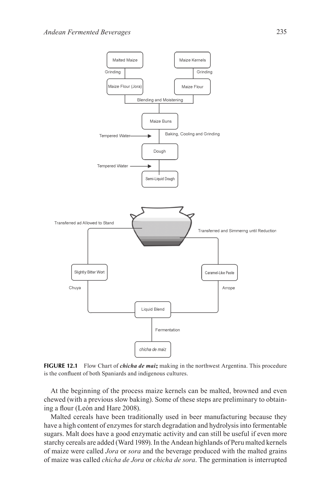

**FIGURE 12.1** Flow Chart of *chicha de maiz* making in the northwest Argentina. This procedure is the confluent of both Spaniards and indigenous cultures.

At the beginning of the process maize kernels can be malted, browned and even chewed (with a previous slow baking). Some of these steps are preliminary to obtaining a flour (León and Hare 2008).

Malted cereals have been traditionally used in beer manufacturing because they have a high content of enzymes for starch degradation and hydrolysis into fermentable sugars. Malt does have a good enzymatic activity and can still be useful if even more starchy cereals are added (Ward 1989). In the Andean highlands of Peru malted kernels of maize were called *Jora* or *sora* and the beverage produced with the malted grains of maize was called *chicha de Jora* or *chicha de sora*. The germination is interrupted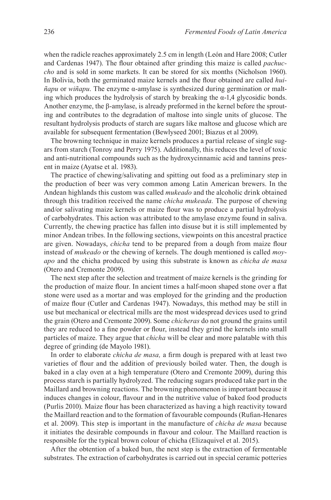when the radicle reaches approximately 2.5 cm in length (León and Hare 2008; Cutler and Cardenas 1947). The flour obtained after grinding this maize is called *pachuccho* and is sold in some markets. It can be stored for six months (Nicholson 1960). In Bolivia, both the germinated maize kernels and the flour obtained are called *huiñapu* or *wiñapu*. The enzyme α-amylase is synthesized during germination or malting which produces the hydrolysis of starch by breaking the α-1,4 glycosidic bonds. Another enzyme, the β-amylase, is already preformed in the kernel before the sprouting and contributes to the degradation of maltose into single units of glucose. The resultant hydrolysis products of starch are sugars like maltose and glucose which are available for subsequent fermentation (Bewlyseed 2001; Biazus et al 2009).

The browning technique in maize kernels produces a partial release of single sugars from starch (Tonroy and Perry 1975). Additionally, this reduces the level of toxic and anti-nutritional compounds such as the hydroxycinnamic acid and tannins present in maize (Ayatse et al. 1983).

The practice of chewing/salivating and spitting out food as a preliminary step in the production of beer was very common among Latin American brewers. In the Andean highlands this custom was called *mukeado* and the alcoholic drink obtained through this tradition received the name *chicha mukeada.* The purpose of chewing and/or salivating maize kernels or maize flour was to produce a partial hydrolysis of carbohydrates. This action was attributed to the amylase enzyme found in saliva. Currently, the chewing practice has fallen into disuse but it is still implemented by minor Andean tribes. In the following sections, viewpoints on this ancestral practice are given. Nowadays, *chicha* tend to be prepared from a dough from maize flour instead of *mukeado* or the chewing of kernels. The dough mentioned is called *moyapo* and the chicha produced by using this substrate is known as *chicha de masa*  (Otero and Cremonte 2009).

The next step after the selection and treatment of maize kernels is the grinding for the production of maize flour. In ancient times a half-moon shaped stone over a flat stone were used as a mortar and was employed for the grinding and the production of maize flour (Cutler and Cardenas 1947). Nowadays, this method may be still in use but mechanical or electrical mills are the most widespread devices used to grind the grain (Otero and Cremonte 2009). Some *chicheras* do not ground the grains until they are reduced to a fine powder or flour, instead they grind the kernels into small particles of maize. They argue that *chicha* will be clear and more palatable with this degree of grinding (de Mayolo 1981).

In order to elaborate *chicha de masa,* a firm dough is prepared with at least two varieties of flour and the addition of previously boiled water. Then, the dough is baked in a clay oven at a high temperature (Otero and Cremonte 2009), during this process starch is partially hydrolyzed. The reducing sugars produced take part in the Maillard and browning reactions. The browning phenomenon is important because it induces changes in colour, flavour and in the nutritive value of baked food products (Purlis 2010). Maize flour has been characterized as having a high reactivity toward the Maillard reaction and to the formation of favourable compounds (Rufian-Henares et al. 2009). This step is important in the manufacture of *chicha de masa* because it initiates the desirable compounds in flavour and colour. The Maillard reaction is responsible for the typical brown colour of chicha (Elizaquivel et al. 2015).

After the obtention of a baked bun, the next step is the extraction of fermentable substrates. The extraction of carbohydrates is carried out in special ceramic potteries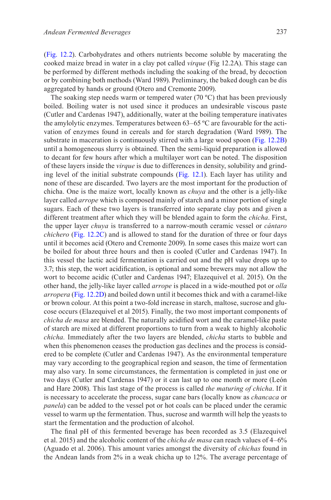([Fig. 12.2](#page--1-0)). Carbohydrates and others nutrients become soluble by macerating the cooked maize bread in water in a clay pot called *virque* (Fig 12.2A). This stage can be performed by different methods including the soaking of the bread, by decoction or by combining both methods (Ward 1989). Preliminary, the baked dough can be dis aggregated by hands or ground (Otero and Cremonte 2009).

The soaking step needs warm or tempered water  $(70 °C)$  that has been previously boiled. Boiling water is not used since it produces an undesirable viscous paste (Cutler and Cardenas 1947), additionally, water at the boiling temperature inativates the amylolytic enzymes. Temperatures between 63–65 ºC are favourable for the activation of enzymes found in cereals and for starch degradation (Ward 1989). The substrate in maceration is continuously stirred with a large wood spoon ([Fig. 12.2B](#page--1-0)) until a homogeneous slurry is obtained. Then the semi-liquid preparation is allowed to decant for few hours after which a multilayer wort can be noted. The disposition of these layers inside the *virque* is due to differences in density, solubility and grinding level of the initial substrate compounds ([Fig. 12.1](#page--1-0)). Each layer has utility and none of these are discarded. Two layers are the most important for the production of chicha. One is the maize wort, locally known as *chuya* and the other is a jelly-like layer called *arrope* which is composed mainly of starch and a minor portion of single sugars. Each of these two layers is transferred into separate clay pots and given a different treatment after which they will be blended again to form the *chicha*. First, the upper layer *chuya* is transferred to a narrow-mouth ceramic vessel or *cántaro chichero* ([Fig. 12.2C\)](#page--1-0) and is allowed to stand for the duration of three or four days until it becomes acid (Otero and Cremonte 2009). In some cases this maize wort can be boiled for about three hours and then is cooled (Cutler and Cardenas 1947). In this vessel the lactic acid fermentation is carried out and the pH value drops up to 3.7; this step, the wort acidification, is optional and some brewers may not allow the wort to become acidic (Cutler and Cardenas 1947; Elazequivel et al. 2015). On the other hand, the jelly-like layer called *arrope* is placed in a wide-mouthed pot or *olla arropera* ([Fig. 12.2D\)](#page--1-0) and boiled down until it becomes thick and with a caramel-like or brown colour. At this point a two-fold increase in starch, maltose, sucrose and glucose occurs (Elazequivel et al 2015). Finally, the two most important components of *chicha de masa* are blended. The naturally acidified wort and the caramel-like paste of starch are mixed at different proportions to turn from a weak to highly alcoholic *chicha.* Immediately after the two layers are blended, *chicha* starts to bubble and when this phenomenon ceases the production gas declines and the process is considered to be complete (Cutler and Cardenas 1947). As the environmental temperature may vary according to the geographical region and season, the time of fermentation may also vary. In some circumstances, the fermentation is completed in just one or two days (Cutler and Cardenas 1947) or it can last up to one month or more (León and Hare 2008). This last stage of the process is called *the maturing of chicha*. If it is necessary to accelerate the process, sugar cane bars (locally know as *chancaca* or *panela*) can be added to the vessel pot or hot coals can be placed under the ceramic vessel to warm up the fermentation. Thus, sucrose and warmth will help the yeasts to start the fermentation and the production of alcohol.

The final pH of this fermented beverage has been recorded as 3.5 (Elazequivel et al. 2015) and the alcoholic content of the *chicha de masa* can reach values of 4–6% (Aguado et al. 2006). This amount varies amongst the diversity of *chichas* found in the Andean lands from 2% in a weak chicha up to 12%. The average percentage of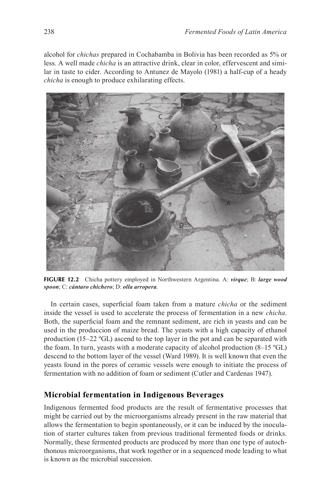alcohol for *chichas* prepared in Cochabamba in Bolivia has been recorded as 5% or less. A well made *chicha* is an attractive drink, clear in color, effervescent and similar in taste to cider. According to Antunez de Mayolo (1981) a half-cup of a heady *chicha* is enough to produce exhilarating effects.



**Figure 12.2** Chicha pottery employed in Northwestern Argentina. A: *virque*; B: *large wood spoon*; C: *cántaro chichero*; D: *olla arropera*.

In certain cases, superficial foam taken from a mature *chicha* or the sediment inside the vessel is used to accelerate the process of fermentation in a new *chicha*. Both, the superficial foam and the remnant sediment, are rich in yeasts and can be used in the produccion of maize bread. The yeasts with a high capacity of ethanol production (15–22 ºGL) ascend to the top layer in the pot and can be separated with the foam. In turn, yeasts with a moderate capacity of alcohol production (8–15 ºGL) descend to the bottom layer of the vessel (Ward 1989). It is well known that even the yeasts found in the pores of ceramic vessels were enough to initiate the process of fermentation with no addition of foam or sediment (Cutler and Cardenas 1947).

# **Microbial fermentation in Indigenous Beverages**

Indigenous fermented food products are the result of fermentative processes that might be carried out by the microorganisms already present in the raw material that allows the fermentation to begin spontaneously, or it can be induced by the inoculation of starter cultures taken from previous traditional fermented foods or drinks. Normally, these fermented products are produced by more than one type of autochthonous microorganisms, that work together or in a sequenced mode leading to what is known as the microbial succession.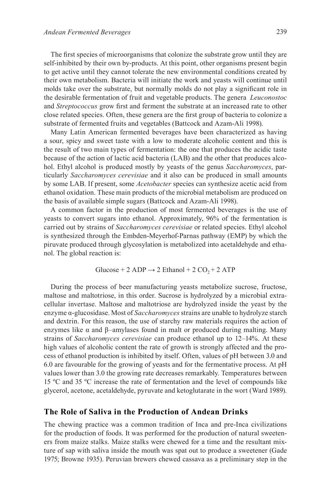The first species of microorganisms that colonize the substrate grow until they are self-inhibited by their own by-products. At this point, other organisms present begin to get active until they cannot tolerate the new environmental conditions created by their own metabolism. Bacteria will initiate the work and yeasts will continue until molds take over the substrate, but normally molds do not play a significant role in the desirable fermentation of fruit and vegetable products. The genera *Leuconostoc* and *Streptococcus* grow first and ferment the substrate at an increased rate to other close related species. Often, these genera are the first group of bacteria to colonize a substrate of fermented fruits and vegetables (Battcock and Azam-Ali 1998).

Many Latin American fermented beverages have been characterized as having a sour, spicy and sweet taste with a low to moderate alcoholic content and this is the result of two main types of fermentation: the one that produces the acidic taste because of the action of lactic acid bacteria (LAB) and the other that produces alcohol. Ethyl alcohol is produced mostly by yeasts of the genus *Saccharomyces*, particularly *Saccharomyces cerevisiae* and it also can be produced in small amounts by some LAB. If present, some *Acetobacter* species can synthesize acetic acid from ethanol oxidation. These main products of the microbial metabolism are produced on the basis of available simple sugars (Battcock and Azam-Ali 1998).

A common factor in the production of most fermented beverages is the use of yeasts to convert sugars into ethanol. Approximately, 96% of the fermentation is carried out by strains of *Saccharomyces cerevisiae* or related species. Ethyl alcohol is synthesized through the Embden-Meyerhof-Parnas pathway (EMP) by which the piruvate produced through glycosylation is metabolized into acetaldehyde and ethanol. The global reaction is:

Glucose + 2 ADP 
$$
\rightarrow
$$
 2 Ethanol + 2 CO<sub>2</sub> + 2 ATP

During the process of beer manufacturing yeasts metabolize sucrose, fructose, maltose and maltotriose, in this order. Sucrose is hydrolyzed by a microbial extracellular invertase. Maltose and maltotriose are hydrolyzed inside the yeast by the enzyme α-glucosidase. Most of *Saccharomyces* strains are unable to hydrolyze starch and dextrin. For this reason, the use of starchy raw materials requires the action of enzymes like  $\alpha$  and  $\beta$ –amylases found in malt or produced during malting. Many strains of *Saccharomyces cerevisiae* can produce ethanol up to 12–14%. At these high values of alcoholic content the rate of growth is strongly affected and the process of ethanol production is inhibited by itself. Often, values of pH between 3.0 and 6.0 are favourable for the growing of yeasts and for the fermentative process. At pH values lower than 3.0 the growing rate decreases remarkably. Temperatures between 15 ºC and 35 ºC increase the rate of fermentation and the level of compounds like glycerol, acetone, acetaldehyde, pyruvate and ketoglutarate in the wort (Ward 1989).

### **The Role of Saliva in the Production of Andean Drinks**

The chewing practice was a common tradition of Inca and pre-Inca civilizations for the production of foods. It was performed for the production of natural sweeteners from maize stalks. Maize stalks were chewed for a time and the resultant mixture of sap with saliva inside the mouth was spat out to produce a sweetener (Gade 1975; Browne 1935). Peruvian brewers chewed cassava as a preliminary step in the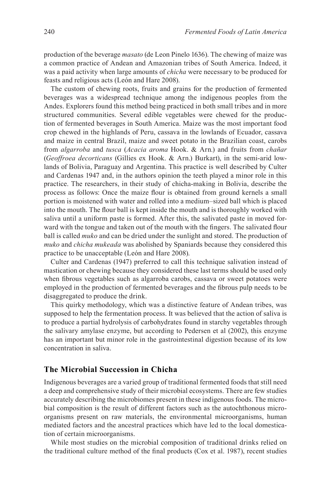production of the beverage *masato* (de Leon Pinelo 1636). The chewing of maize was a common practice of Andean and Amazonian tribes of South America. Indeed, it was a paid activity when large amounts of *chicha* were necessary to be produced for feasts and religious acts (León and Hare 2008).

The custom of chewing roots, fruits and grains for the production of fermented beverages was a widespread technique among the indigenous peoples from the Andes. Explorers found this method being practiced in both small tribes and in more structured communities. Several edible vegetables were chewed for the production of fermented beverages in South America. Maize was the most important food crop chewed in the highlands of Peru, cassava in the lowlands of Ecuador, cassava and maize in central Brazil, maize and sweet potato in the Brazilian coast, carobs from *algarroba* and *tusca* (*Acacia aroma* Hook. & Arn*.*) and fruits from *chañar* (*Geoffroea decorticans* (Gillies ex Hook. & Arn.) Burkart), in the semi-arid lowlands of Bolivia, Paraguay and Argentina. This practice is well described by Culter and Cardenas 1947 and, in the authors opinion the teeth played a minor role in this practice. The researchers, in their study of chicha-making in Bolivia, describe the process as follows: Once the maize flour is obtained from ground kernels a small portion is moistened with water and rolled into a medium–sized ball which is placed into the mouth. The flour ball is kept inside the mouth and is thoroughly worked with saliva until a uniform paste is formed. After this, the salivated paste in moved forward with the tongue and taken out of the mouth with the fingers. The salivated flour ball is called *muko* and can be dried under the sunlight and stored. The production of *muko* and *chicha mukeada* was abolished by Spaniards because they considered this practice to be unacceptable (León and Hare 2008).

Culter and Cardenas (1947) preferred to call this technique salivation instead of mastication or chewing because they considered these last terms should be used only when fibrous vegetables such as algarroba carobs, cassava or sweet potatoes were employed in the production of fermented beverages and the fibrous pulp needs to be disaggregated to produce the drink.

This quirky methodology, which was a distinctive feature of Andean tribes, was supposed to help the fermentation process. It was believed that the action of saliva is to produce a partial hydrolysis of carbohydrates found in starchy vegetables through the salivary amylase enzyme, but according to Pedersen et al (2002), this enzyme has an important but minor role in the gastrointestinal digestion because of its low concentration in saliva.

### **The Microbial Succession in Chicha**

Indigenous beverages are a varied group of traditional fermented foods that still need a deep and comprehensive study of their microbial ecosystems. There are few studies accurately describing the microbiomes present in these indigenous foods. The microbial composition is the result of different factors such as the autochthonous microorganisms present on raw materials, the environmental microorganisms, human mediated factors and the ancestral practices which have led to the local domestication of certain microorganisms.

While most studies on the microbial composition of traditional drinks relied on the traditional culture method of the final products (Cox et al. 1987), recent studies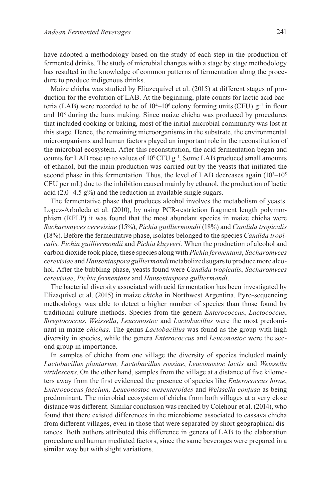have adopted a methodology based on the study of each step in the production of fermented drinks. The study of microbial changes with a stage by stage methodology has resulted in the knowledge of common patterns of fermentation along the procedure to produce indigenous drinks.

Maize chicha was studied by Eliazequível et al. (2015) at different stages of production for the evolution of LAB. At the beginning, plate counts for lactic acid bacteria (LAB) were recorded to be of  $10^{4}$ – $10^{6}$  colony forming units (CFU)  $g^{-1}$  in flour and 108 during the buns making. Since maize chicha was produced by procedures that included cooking or baking, most of the initial microbial community was lost at this stage. Hence, the remaining microorganisms in the substrate, the environmental microorganisms and human factors played an important role in the reconstitution of the microbial ecosystem. After this reconstitution, the acid fermentation began and counts for LAB rose up to values of  $10^9$  CFU g<sup>-1</sup>. Some LAB produced small amounts of ethanol, but the main production was carried out by the yeasts that initiated the second phase in this fermentation. Thus, the level of LAB decreases again  $(10<sup>3</sup>-10<sup>5</sup>)$ CFU per mL) due to the inhibition caused mainly by ethanol, the production of lactic acid  $(2.0-4.5 \text{ g\%})$  and the reduction in available single sugars.

The fermentative phase that produces alcohol involves the metabolism of yeasts. Lopez-Arboleda et al. (2010), by using PCR-restriction fragment length polymorphism (RFLP) it was found that the most abundant species in maize chicha were *Sacharomyces cerevisiae* (15%), *Pichia guilliermondii* (18%) and *Candida tropicalis* (18%). Before the fermentative phase, isolates belonged to the species *Candida tropicalis, Pichia guilliermondii* and *Pichia kluyveri.* When the production of alcohol and carbon dioxide took place, these species along with *Pichia fermentans*, *Sacharomyces cerevisiae* and *Hanseniaspora gulliermondi* metabolized sugars to produce more alcohol. After the bubbling phase, yeasts found were *Candida tropicalis*, *Sacharomyces cerevisiae*, *Pichia fermentans* and *Hanseniaspora gulliermondi*.

The bacterial diversity associated with acid fermentation has been investigated by Elizaquível et al. (2015) in maize *chicha* in Northwest Argentina. Pyro-sequencing methodology was able to detect a higher number of species than those found by traditional culture methods. Species from the genera *Enterococcus*, *Lactococcus*, *Streptococcus*, *Weissella*, *Leuconostoc* and *Lactobacillus* were the most predominant in maize *chichas*. The genus *Lactobacillus* was found as the group with high diversity in species, while the genera *Enterococcus* and *Leuconostoc* were the second group in importance.

In samples of chicha from one village the diversity of species included mainly *Lactobacillus plantarum, Lactobacillus rossiae*, *Leuconostoc lactis* and *Weissella viridescens*. On the other hand, samples from the village at a distance of five kilometers away from the first evidenced the presence of species like *Enterococcus hirae*, *Enterococcus faecium, Leuconostoc mesenteroides* and *Weissella confusa* as being predominant. The microbial ecosystem of chicha from both villages at a very close distance was different. Similar conclusion was reached by Colehour et al. (2014), who found that there existed differences in the microbiome associated to cassava chicha from different villages, even in those that were separated by short geographical distances. Both authors attributed this difference in genera of LAB to the elaboration procedure and human mediated factors, since the same beverages were prepared in a similar way but with slight variations.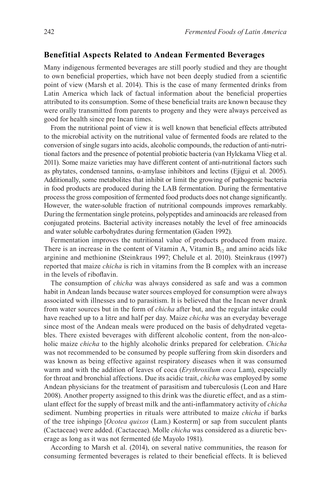#### **Benefitial Aspects Related to Andean Fermented Beverages**

Many indigenous fermented beverages are still poorly studied and they are thought to own beneficial properties, which have not been deeply studied from a scientific point of view (Marsh et al. 2014). This is the case of many fermented drinks from Latin America which lack of factual information about the beneficial properties attributed to its consumption. Some of these beneficial traits are known because they were orally transmitted from parents to progeny and they were always perceived as good for health since pre Incan times.

From the nutritional point of view it is well known that beneficial effects attributed to the microbial activity on the nutritional value of fermented foods are related to the conversion of single sugars into acids, alcoholic compounds, the reduction of anti-nutritional factors and the presence of potential probiotic bacteria (van Hylckama Vlieg et al. 2011). Some maize varieties may have different content of anti-nutritional factors such as phytates, condensed tannins, α-amylase inhibitors and lectins (Ejigui et al. 2005). Additionally, some metabolites that inhibit or limit the growing of pathogenic bacteria in food products are produced during the LAB fermentation. During the fermentative process the gross composition of fermented food products does not change significantly. However, the water-soluble fraction of nutritional compounds improves remarkably. During the fermentation single proteins, polypeptides and aminoacids are released from conjugated proteins. Bacterial activity increases notably the level of free aminoacids and water soluble carbohydrates during fermentation (Gaden 1992).

Fermentation improves the nutritional value of products produced from maize. There is an increase in the content of Vitamin A, Vitamin  $B_{12}$  and amino acids like arginine and methionine (Steinkraus 1997; Chelule et al. 2010). Steinkraus (1997) reported that maize *chicha* is rich in vitamins from the B complex with an increase in the levels of riboflavin.

The consumption of *chicha* was always considered as safe and was a common habit in Andean lands because water sources employed for consumption were always associated with illnesses and to parasitism. It is believed that the Incan never drank from water sources but in the form of *chicha* after but, and the regular intake could have reached up to a litre and half per day. Maize *chicha* was an everyday beverage since most of the Andean meals were produced on the basis of dehydrated vegetables. There existed beverages with different alcoholic content, from the non-alcoholic maize *chicha* to the highly alcoholic drinks prepared for celebration. *Chicha* was not recommended to be consumed by people suffering from skin disorders and was known as being effective against respiratory diseases when it was consumed warm and with the addition of leaves of coca (*Erythroxilum coca* Lam), especially for throat and bronchial affections. Due its acidic trait, *chicha* was employed by some Andean physicians for the treatment of parasitism and tuberculosis (Leon and Hare 2008). Another property assigned to this drink was the diuretic effect, and as a stimulant effect for the supply of breast milk and the anti-inflammatory activity of *chicha* sediment. Numbing properties in rituals were attributed to maize *chicha* if barks of the tree ishpingo [*Ocotea quixos* (Lam.) Kosterm] or sap from succulent plants (Cactaceae) were added. (Cactaceae). Molle *chicha* was considered as a diuretic beverage as long as it was not fermented (de Mayolo 1981).

According to Marsh et al. (2014), on several native communities, the reason for consuming fermented beverages is related to their beneficial effects. It is believed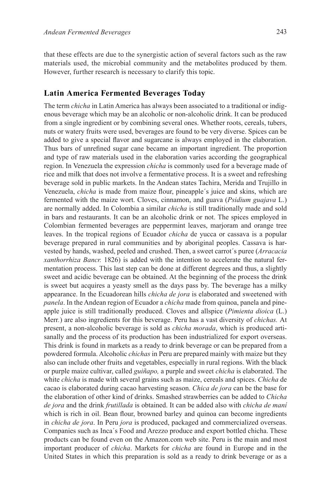that these effects are due to the synergistic action of several factors such as the raw materials used, the microbial community and the metabolites produced by them. However, further research is necessary to clarify this topic.

# **Latin America Fermented Beverages Today**

The term *chicha* in Latin America has always been associated to a traditional or indigenous beverage which may be an alcoholic or non-alcoholic drink. It can be produced from a single ingredient or by combining several ones. Whether roots, cereals, tubers, nuts or watery fruits were used, beverages are found to be very diverse. Spices can be added to give a special flavor and sugarcane is always employed in the elaboration. Thus bars of unrefined sugar cane became an important ingredient. The proportion and type of raw materials used in the elaboration varies according the geographical region. In Venezuela the expression *chicha* is commonly used for a beverage made of rice and milk that does not involve a fermentative process. It is a sweet and refreshing beverage sold in public markets. In the Andean states Tachira, Merida and Trujillo in Venezuela, *chicha* is made from maize flour, pineapple´s juice and skins, which are fermented with the maize wort. Cloves, cinnamon, and guava (*Psidium guajava* L.) are normally added. In Colombia a similar *chicha* is still traditionally made and sold in bars and restaurants. It can be an alcoholic drink or not. The spices employed in Colombian fermented beverages are peppermint leaves, marjoram and orange tree leaves. In the tropical regions of Ecuador *chicha* de yucca or cassava is a popular beverage prepared in rural communities and by aboriginal peoples. Cassava is harvested by hands, washed, peeled and crushed. Then, a sweet carrot´s puree (*Arracacia xanthorrhiza Bancr.* 1826) is added with the intention to accelerate the natural fermentation process. This last step can be done at different degrees and thus, a slightly sweet and acidic beverage can be obtained. At the beginning of the process the drink is sweet but acquires a yeasty smell as the days pass by. The beverage has a milky appearance. In the Ecuadorean hills *chicha de jora* is elaborated and sweetened with *panela*. In the Andean region of Ecuador a *chicha* made from quinoa, panela and pineapple juice is still traditionally produced. Cloves and allspice (*Pimienta dioica* (L.) Merr*.*) are also ingredients for this beverage. Peru has a vast diversity of *chichas.* At present, a non-alcoholic beverage is sold as *chicha morada*, which is produced artisanally and the process of its production has been industrialized for export overseas. This drink is found in markets as a ready to drink beverage or can be prepared from a powdered formula. Alcoholic *chichas* in Peru are prepared mainly with maize but they also can include other fruits and vegetables, especially in rural regions. With the black or purple maize cultivar, called *guiñapo,* a purple and sweet *chicha* is elaborated. The white *chicha* is made with several grains such as maize, cereals and spices. *Chicha* de cacao is elaborated during cacao harvesting season. *Chica de jora* can be the base for the elaboration of other kind of drinks. Smashed strawberries can be added to *Chicha de jora* and the drink *frutillada* is obtained. It can be added also with *chicha de maní* which is rich in oil. Bean flour, browned barley and quinoa can become ingredients in *chicha de jora*. In Peru *jora* is produced, packaged and commercialized overseas. Companies such as Inca´s Food and Arezzo produce and export bottled chicha. These products can be found even on the [Amazon.com](http://Amazon.com) web site. Peru is the main and most important producer of *chicha*. Markets for *chicha* are found in Europe and in the United States in which this preparation is sold as a ready to drink beverage or as a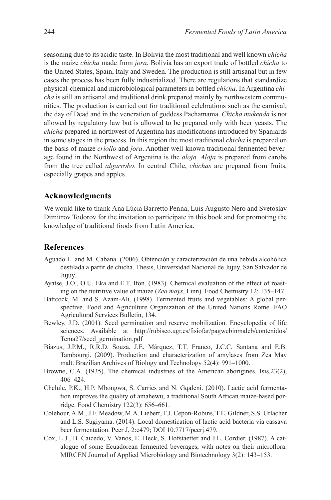seasoning due to its acidic taste. In Bolivia the most traditional and well known *chicha* is the maize *chicha* made from *jora*. Bolivia has an export trade of bottled *chicha* to the United States, Spain, Italy and Sweden. The production is still artisanal but in few cases the process has been fully industrialized. There are regulations that standardize physical-chemical and microbiological parameters in bottled *chicha*. In Argentina *chicha* is still an artisanal and traditional drink prepared mainly by northwestern communities. The production is carried out for traditional celebrations such as the carnival, the day of Dead and in the veneration of goddess Pachamama. *Chicha mukeada* is not allowed by regulatory law but is allowed to be prepared only with beer yeasts. The *chicha* prepared in northwest of Argentina has modifications introduced by Spaniards in some stages in the process. In this region the most traditional *chicha* is prepared on the basis of maize *criollo* and *jora*. Another well-known traditional fermented beverage found in the Northwest of Argentina is the *aloja. Aloja* is prepared from carobs from the tree called *algarrobo*. In central Chile, *chichas* are prepared from fruits, especially grapes and apples.

#### **Acknowledgments**

We would like to thank Ana Lúcia Barretto Penna, Luis Augusto Nero and Svetoslav Dimitrov Todorov for the invitation to participate in this book and for promoting the knowledge of traditional foods from Latin America.

# **References**

- Aguado L. and M. Cabana. (2006). Obtención y caracterización de una bebida alcohólica destilada a partir de chicha. Thesis, Universidad Nacional de Jujuy, San Salvador de Jujuy.
- Ayatse, J.O., O.U. Eka and E.T. Ifon. (1983). Chemical evaluation of the effect of roasting on the nutritive value of maize (*Zea mays*, Linn). Food Chemistry 12: 135–147.
- Battcock, M. and S. Azam-Ali. (1998). Fermented fruits and vegetables: A global perspective. Food and Agriculture Organization of the United Nations Rome. FAO Agricultural Services Bulletin, 134.
- Bewley, J.D. (2001). Seed germination and reserve mobilization. Encyclopedia of life sciences. Available at [http://rubisco.ugr.es/fisiofar/pagwebinmalcb/contenidos/](http://rubisco.ugr.es/fisiofar/pagwebinmalcb/contenidos/Tema27/seed_germination.pdf) [Tema27/seed\\_germination.pdf](http://rubisco.ugr.es/fisiofar/pagwebinmalcb/contenidos/Tema27/seed_germination.pdf)
- Biazus, J.P.M., R.R.D. Souza, J.E. Márquez, T.T. Franco, J.C.C. Santana and E.B. Tambourgi. (2009). Production and characterization of amylases from Zea May malt. Brazilian Archives of Biology and Technology 52(4): 991–1000.
- Browne, C.A. (1935). The chemical industries of the American aborigines. Isis,23(2), 406–424.
- Chelule, P.K., H.P. Mbongwa, S. Carries and N. Gqaleni. (2010). Lactic acid fermentation improves the quality of amahewu, a traditional South African maize-based porridge. Food Chemistry 122(3): 656–661.
- Colehour, A.M., J.F. Meadow, M.A. Liebert, T.J. Cepon-Robins, T.E. Gildner, S.S. Urlacher and L.S. Sugiyama. (2014). Local domestication of lactic acid bacteria via cassava beer fermentation. Peer J, 2:e479; DOI 10.7717/peerj.479.
- Cox, L.J., B. Caicedo, V. Vanos, E. Heck, S. Hofstaetter and J.L. Cordier. (1987). A catalogue of some Ecuadorean fermented beverages, with notes on their microflora. MIRCEN Journal of Applied Microbiology and Biotechnology 3(2): 143–153.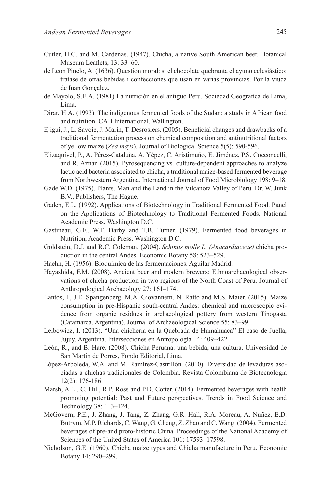- Cutler, H.C. and M. Cardenas. (1947). Chicha, a native South American beer. Botanical Museum Leaflets, 13: 33–60.
- de Leon Pinelo, A. (1636). Question moral: si el chocolate quebranta el ayuno eclesiástico: tratase de otras bebidas i confecciones que usan en varias provincias. Por la viuda de Iuan Gonçalez.
- de Mayolo, S.E.A. (1981) La nutrición en el antiguo Perú*.* Sociedad Geografica de Lima, Lima.
- Dirar, H.A. (1993). The indigenous fermented foods of the Sudan: a study in African food and nutrition. CAB International, Wallington.
- Ejigui, J., L. Savoie, J. Marin, T. Desrosiers. (2005). Beneficial changes and drawbacks of a traditional fermentation process on chemical composition and antinutritional factors of yellow maize (*Zea mays*). Journal of Biological Science 5(5): 590-596.
- Elizaquível, P., A. Pérez-Cataluña, A. Yépez, C. Aristimuño, E. Jiménez, P.S. Cocconcelli, and R. Aznar. (2015). Pyrosequencing vs. culture-dependent approaches to analyze lactic acid bacteria associated to chicha, a traditional maize-based fermented beverage from Northwestern Argentina. International Journal of Food Microbiology 198: 9–18.
- Gade W.D. (1975). Plants, Man and the Land in the Vilcanota Valley of Peru. Dr. W. Junk B.V., Publishers, The Hague.
- Gaden, E.L. (1992). Applications of Biotechnology in Traditional Fermented Food. Panel on the Applications of Biotechnology to Traditional Fermented Foods. National Academic Press, Washington D.C.
- Gastineau, G.F., W.F. Darby and T.B. Turner. (1979). Fermented food beverages in Nutrition, Academic Press. Washington D.C.
- Goldstein, D.J. and R.C. Coleman. (2004). *Schinus molle L. (Anacardiaceae)* chicha production in the central Andes. Economic Botany 58: 523–529.
- Haehn, H. (1956). Bioquímica de las fermentaciones. Aguilar Madrid.
- Hayashida, F.M. (2008). Ancient beer and modern brewers: Ethnoarchaeological observations of chicha production in two regions of the North Coast of Peru. Journal of Anthropological Archaeology 27: 161–174.
- Lantos, I., J.E. Spangenberg. M.A. Giovannetti. N. Ratto and M.S. Maier. (2015). Maize consumption in pre-Hispanic south-central Andes: chemical and microscopic evidence from organic residues in archaeological pottery from western Tinogasta (Catamarca, Argentina). Journal of Archaeological Science 55: 83–99.
- Leibowicz, I. (2013). "Una chichería en la Quebrada de Humahuaca" El caso de Juella, Jujuy, Argentina. Intersecciones en Antropología 14: 409–422.
- León, R., and B. Hare. (2008). Chicha Peruana: una bebida, una cultura. Universidad de San Martín de Porres, Fondo Editorial, Lima.
- López-Arboleda, W.A. and M. Ramírez-Castrillón. (2010). Diversidad de levaduras asociadas a chichas tradicionales de Colombia. Revista Colombiana de Biotecnología 12(2): 176-186.
- Marsh, A.L., C. Hill, R.P. Ross and P.D. Cotter. (2014). Fermented beverages with health promoting potential: Past and Future perspectives. Trends in Food Science and Technology 38: 113–124.
- McGovern, P.E., J. Zhang, J. Tang, Z. Zhang, G.R. Hall, R.A. Moreau, A. Nuñez, E.D. Butrym, M.P. Richards, C. Wang, G. Cheng, Z. Zhao and C. Wang. (2004). Fermented beverages of pre-and proto-historic China. Proceedings of the National Academy of Sciences of the United States of America 101: 17593–17598.
- Nicholson, G.E. (1960). Chicha maize types and Chicha manufacture in Peru. Economic Botany 14: 290–299.